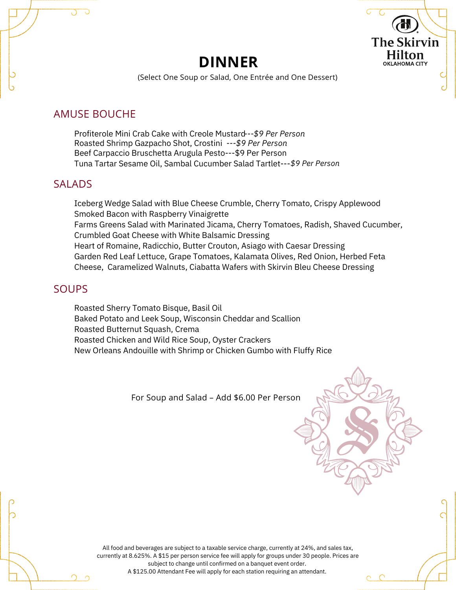## **DINNER**



(Select One Soup or Salad, One Entrée and One Dessert)

## AMUSE BOUCHE

Profiterole Mini Crab Cake with Creole Mustard *---\$9 Per Person* Roasted Shrimp Gazpacho Shot, Crostini *---\$9 Per Person* Beef Carpaccio Bruschetta Arugula Pesto---\$9 Per Person Tuna Tartar Sesame Oil, Sambal Cucumber Salad Tartlet--- *\$9 Per Person*

## SALADS

Iceberg Wedge Salad with Blue Cheese Crumble, Cherry Tomato, Crispy Applewood Smoked Bacon with Raspberry Vinaigrette Farms Greens Salad with Marinated Jicama, Cherry Tomatoes, Radish, Shaved Cucumber, Crumbled Goat Cheese with White Balsamic Dressing Heart of Romaine, Radicchio, Butter Crouton, Asiago with Caesar Dressing Garden Red Leaf Lettuce, Grape Tomatoes, Kalamata Olives, Red Onion, Herbed Feta Cheese, Caramelized Walnuts, Ciabatta Wafers with Skirvin Bleu Cheese Dressing

## **SOUPS**

Roasted Sherry Tomato Bisque, Basil Oil Baked Potato and Leek Soup, Wisconsin Cheddar and Scallion Roasted Butternut Squash, Crema Roasted Chicken and Wild Rice Soup, Oyster Crackers New Orleans Andouille with Shrimp or Chicken Gumbo with Fluffy Rice

For Soup and Salad – Add \$6.00 Per Person

All food and beverages are subject to a taxable service charge, currently at 24%, and sales tax, currently at 8.625%. A \$15 per person service fee will apply for groups under 30 people. Prices are subject to change until confirmed on a banquet event order. A \$125.00 Attendant Fee will apply for each station requiring an attendant.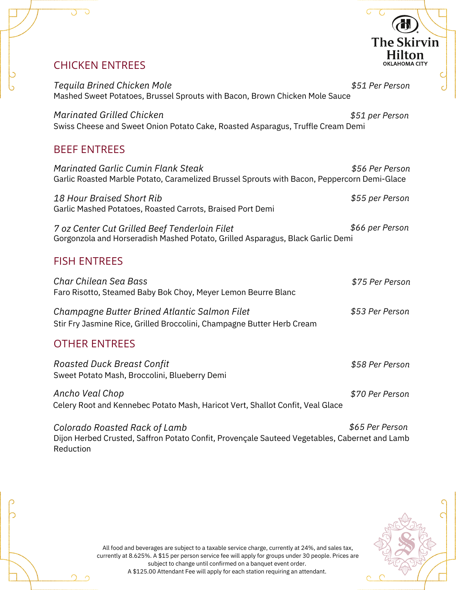# CHICKEN ENTREES *Tequila Brined Chicken Mole*

Mashed Sweet Potatoes, Brussel Sprouts with Bacon, Brown Chicken Mole Sauce *\$51 Per Person*

Swiss Cheese and Sweet Onion Potato Cake, Roasted Asparagus, Truffle Cream Demi *\$51 per Person Marinated Grilled Chicken*

## BEEF ENTREES

| <b>Marinated Garlic Cumin Flank Steak</b>                                                                                       | \$56 Per Person |  |
|---------------------------------------------------------------------------------------------------------------------------------|-----------------|--|
| Garlic Roasted Marble Potato, Caramelized Brussel Sprouts with Bacon, Peppercorn Demi-Glace                                     |                 |  |
| 18 Hour Braised Short Rib<br>Garlic Mashed Potatoes, Roasted Carrots, Braised Port Demi                                         | \$55 per Person |  |
| 7 oz Center Cut Grilled Beef Tenderloin Filet<br>Gorgonzola and Horseradish Mashed Potato, Grilled Asparagus, Black Garlic Demi | \$66 per Person |  |
|                                                                                                                                 |                 |  |

## FISH ENTREES

| Char Chilean Sea Bass<br>Faro Risotto, Steamed Baby Bok Choy, Meyer Lemon Beurre Blanc                                  | \$75 Per Person |
|-------------------------------------------------------------------------------------------------------------------------|-----------------|
| Champagne Butter Brined Atlantic Salmon Filet<br>Stir Fry Jasmine Rice, Grilled Broccolini, Champagne Butter Herb Cream | \$53 Per Person |

## OTHER ENTREES

Sweet Potato Mash, Broccolini, Blueberry Demi *Roasted Duck Breast Confit*

Celery Root and Kennebec Potato Mash, Haricot Vert, Shallot Confit, Veal Glace *\$70 Per Person Ancho Veal Chop*

Dijon Herbed Crusted, Saffron Potato Confit, Provençale Sauteed Vegetables, Cabernet and Lamb Reduction *\$65 Per Person Colorado Roasted Rack of Lamb*



*\$58 Per Person*

**The Skirvin Hilton OKLAHOMA CITY** 

All food and beverages are subject to a taxable service charge, currently at 24%, and sales tax, currently at 8.625%. A \$15 per person service fee will apply for groups under 30 people. Prices are subject to change until confirmed on a banquet event order. A \$125.00 Attendant Fee will apply for each station requiring an attendant.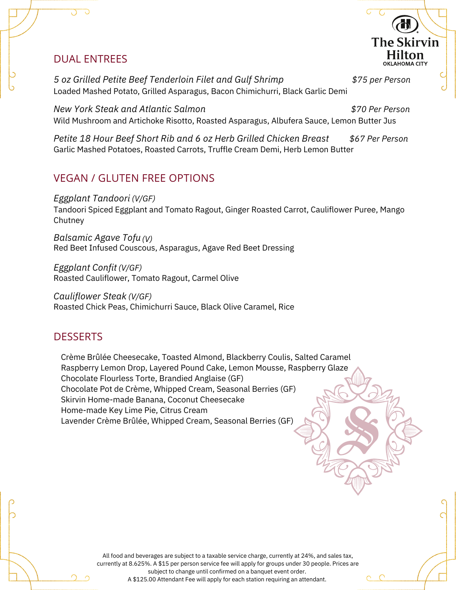## DUAL ENTREES

Loaded Mashed Potato, Grilled Asparagus, Bacon Chimichurri, Black Garlic Demi *5 oz Grilled Petite Beef Tenderloin Filet and Gulf Shrimp \$75 per Person*

Wild Mushroom and Artichoke Risotto, Roasted Asparagus, Albufera Sauce, Lemon Butter Jus *New York Steak and Atlantic Salmon \$70 Per Person*

**The Skirvin** Hilton **OKLAHOMA CITY** 

Garlic Mashed Potatoes, Roasted Carrots, Truffle Cream Demi, Herb Lemon Butter *Petite 18 Hour Beef Short Rib and 6 oz Herb Grilled Chicken Breast \$67 Per Person*

## VEGAN / GLUTEN FREE OPTIONS

*Eggplant Tandoori (V/GF)*

Tandoori Spiced Eggplant and Tomato Ragout, Ginger Roasted Carrot, Cauliflower Puree, Mango **Chutney** 

Red Beet Infused Couscous, Asparagus, Agave Red Beet Dressing *Balsamic Agave Tofu (V)*

Roasted Cauliflower, Tomato Ragout, Carmel Olive *Eggplant Confit (V/GF)*

Roasted Chick Peas, Chimichurri Sauce, Black Olive Caramel, Rice *Cauliflower Steak (V/GF)*

## **DESSERTS**

Crème Brûlée Cheesecake, Toasted Almond, Blackberry Coulis, Salted Caramel Raspberry Lemon Drop, Layered Pound Cake, Lemon Mousse, Raspberry Glaze Chocolate Flourless Torte, Brandied Anglaise (GF) Chocolate Pot de Crème, Whipped Cream, Seasonal Berries (GF) Skirvin Home-made Banana, Coconut Cheesecake Home-made Key Lime Pie, Citrus Cream Lavender Crème Brûlée, Whipped Cream, Seasonal Berries (GF)

> All food and beverages are subject to a taxable service charge, currently at 24%, and sales tax, currently at 8.625%. A \$15 per person service fee will apply for groups under 30 people. Prices are subject to change until confirmed on a banquet event order.

A \$125.00 Attendant Fee will apply for each station requiring an attendant.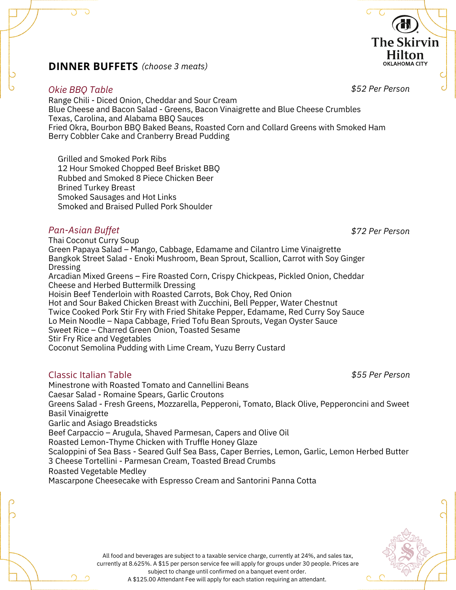## *(choose 3 meats)* **DINNER BUFFETS**

#### *Okie BBQ Table*

Range Chili - Diced Onion, Cheddar and Sour Cream Blue Cheese and Bacon Salad - Greens, Bacon Vinaigrette and Blue Cheese Crumbles Texas, Carolina, and Alabama BBQ Sauces Fried Okra, Bourbon BBQ Baked Beans, Roasted Corn and Collard Greens with Smoked Ham Berry Cobbler Cake and Cranberry Bread Pudding

Grilled and Smoked Pork Ribs 12 Hour Smoked Chopped Beef Brisket BBQ Rubbed and Smoked 8 Piece Chicken Beer Brined Turkey Breast Smoked Sausages and Hot Links Smoked and Braised Pulled Pork Shoulder

#### *Pan-Asian Buffet*

Thai Coconut Curry Soup Green Papaya Salad – Mango, Cabbage, Edamame and Cilantro Lime Vinaigrette Bangkok Street Salad - Enoki Mushroom, Bean Sprout, Scallion, Carrot with Soy Ginger Dressing Arcadian Mixed Greens – Fire Roasted Corn, Crispy Chickpeas, Pickled Onion, Cheddar Cheese and Herbed Buttermilk Dressing Hoisin Beef Tenderloin with Roasted Carrots, Bok Choy, Red Onion Hot and Sour Baked Chicken Breast with Zucchini, Bell Pepper, Water Chestnut Twice Cooked Pork Stir Fry with Fried Shitake Pepper, Edamame, Red Curry Soy Sauce Lo Mein Noodle – Napa Cabbage, Fried Tofu Bean Sprouts, Vegan Oyster Sauce Sweet Rice – Charred Green Onion, Toasted Sesame

Stir Fry Rice and Vegetables

Coconut Semolina Pudding with Lime Cream, Yuzu Berry Custard

### Classic Italian Table

Minestrone with Roasted Tomato and Cannellini Beans Caesar Salad - Romaine Spears, Garlic Croutons Greens Salad - Fresh Greens, Mozzarella, Pepperoni, Tomato, Black Olive, Pepperoncini and Sweet Basil Vinaigrette Garlic and Asiago Breadsticks Beef Carpaccio – Arugula, Shaved Parmesan, Capers and Olive Oil Roasted Lemon-Thyme Chicken with Truffle Honey Glaze Scaloppini of Sea Bass - Seared Gulf Sea Bass, Caper Berries, Lemon, Garlic, Lemon Herbed Butter 3 Cheese Tortellini - Parmesan Cream, Toasted Bread Crumbs Roasted Vegetable Medley Mascarpone Cheesecake with Espresso Cream and Santorini Panna Cotta

*\$52 Per Person*

**The Skirvin** Hilton **OKLAHOMA CITY** 

*\$72 Per Person*

*\$55 Per Person*



All food and beverages are subject to a taxable service charge, currently at 24%, and sales tax, currently at 8.625%. A \$15 per person service fee will apply for groups under 30 people. Prices are subject to change until confirmed on a banquet event order. A \$125.00 Attendant Fee will apply for each station requiring an attendant.